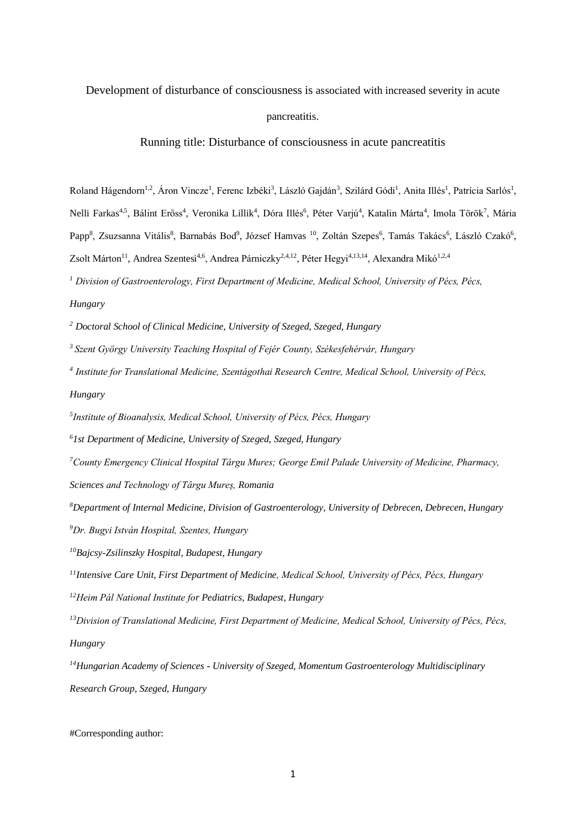Development of disturbance of consciousness is associated with increased severity in acute

pancreatitis.

Running title: Disturbance of consciousness in acute pancreatitis

Roland Hágendorn<sup>1,2</sup>, Áron Vincze<sup>1</sup>, Ferenc Izbéki<sup>3</sup>, László Gajdán<sup>3</sup>, Szilárd Gódi<sup>1</sup>, Anita Illés<sup>1</sup>, Patrícia Sarlós<sup>1</sup>, Nelli Farkas<sup>4,5</sup>, Bálint Erőss<sup>4</sup>, Veronika Lillik<sup>4</sup>, Dóra Illés<sup>6</sup>, Péter Varjú<sup>4</sup>, Katalin Márta<sup>4</sup>, Imola Török<sup>7</sup>, Mária Papp<sup>8</sup>, Zsuzsanna Vitális<sup>8</sup>, Barnabás Bod<sup>9</sup>, József Hamvas <sup>10</sup>, Zoltán Szepes<sup>6</sup>, Tamás Takács<sup>6</sup>, László Czakó<sup>6</sup>, Zsolt Márton<sup>11</sup>, Andrea Szentesi<sup>4,6</sup>, Andrea Párniczky<sup>2,4,12</sup>, Péter Hegyi<sup>4,13,14</sup>, Alexandra Mikó<sup>1,2,4</sup>

*<sup>1</sup> Division of Gastroenterology, First Department of Medicine, Medical School, University of Pécs, Pécs,* 

# *Hungary*

*<sup>2</sup> Doctoral School of Clinical Medicine, University of Szeged, Szeged, Hungary*

*<sup>3</sup>Szent György University Teaching Hospital of Fejér County, Székesfehérvár, Hungary*

*4 Institute for Translational Medicine, Szentágothai Research Centre, Medical School, University of Pécs, Hungary*

*5 Institute of Bioanalysis, Medical School, University of Pécs, Pécs, Hungary*

*<sup>6</sup>1st Department of Medicine, University of Szeged, Szeged, Hungary*

*<sup>7</sup>County Emergency Clinical Hospital Târgu Mures; George Emil Palade University of Medicine, Pharmacy,* 

*Sciences and Technology of Târgu Mureș, Romania*

*<sup>8</sup>Department of Internal Medicine, Division of Gastroenterology, University of Debrecen, Debrecen, Hungary <sup>9</sup>Dr. Bugyi István Hospital, Szentes, Hungary*

*<sup>10</sup>Bajcsy-Zsilinszky Hospital, Budapest, Hungary*

*<sup>11</sup>Intensive Care Unit, First Department of Medicine, Medical School, University of Pécs, Pécs, Hungary*

*<sup>12</sup>Heim Pál National Institute for Pediatrics, Budapest, Hungary*

<sup>13</sup>*Division of Translational Medicine, First Department of Medicine, Medical School, University of Pécs, Pécs, Hungary*

*<sup>14</sup>Hungarian Academy of Sciences - University of Szeged, Momentum Gastroenterology Multidisciplinary Research Group, Szeged, Hungary* 

## #Corresponding author: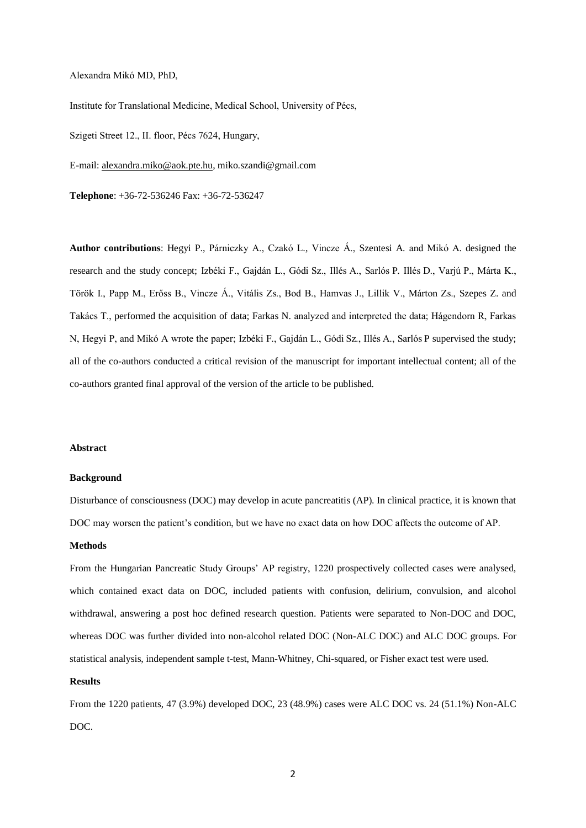Alexandra Mikó MD, PhD,

Institute for Translational Medicine, Medical School, University of Pécs,

Szigeti Street 12., II. floor, Pécs 7624, Hungary,

E-mail: [alexandra.miko@aok.pte.hu,](mailto:alexandra.miko@aok.pte.hu) miko.szandi@gmail.com

**Telephone**: +36-72-536246 Fax: +36-72-536247

**Author contributions**: Hegyi P., Párniczky A., Czakó L., Vincze Á., Szentesi A. and Mikó A. designed the research and the study concept; Izbéki F., Gajdán L., Gódi Sz., Illés A., Sarlós P. Illés D., Varjú P., Márta K., Török I., Papp M., Erőss B., Vincze Á., Vitális Zs., Bod B., Hamvas J., Lillik V., Márton Zs., Szepes Z. and Takács T., performed the acquisition of data; Farkas N. analyzed and interpreted the data; Hágendorn R, Farkas N, Hegyi P, and Mikó A wrote the paper; Izbéki F., Gajdán L., Gódi Sz., Illés A., Sarlós P supervised the study; all of the co-authors conducted a critical revision of the manuscript for important intellectual content; all of the co-authors granted final approval of the version of the article to be published.

## **Abstract**

#### **Background**

Disturbance of consciousness (DOC) may develop in acute pancreatitis (AP). In clinical practice, it is known that DOC may worsen the patient's condition, but we have no exact data on how DOC affects the outcome of AP.

#### **Methods**

From the Hungarian Pancreatic Study Groups' AP registry, 1220 prospectively collected cases were analysed, which contained exact data on DOC, included patients with confusion, delirium, convulsion, and alcohol withdrawal, answering a post hoc defined research question. Patients were separated to Non-DOC and DOC, whereas DOC was further divided into non-alcohol related DOC (Non-ALC DOC) and ALC DOC groups. For statistical analysis, independent sample t-test, Mann-Whitney, Chi-squared, or Fisher exact test were used.

### **Results**

From the 1220 patients, 47 (3.9%) developed DOC, 23 (48.9%) cases were ALC DOC vs. 24 (51.1%) Non-ALC DOC.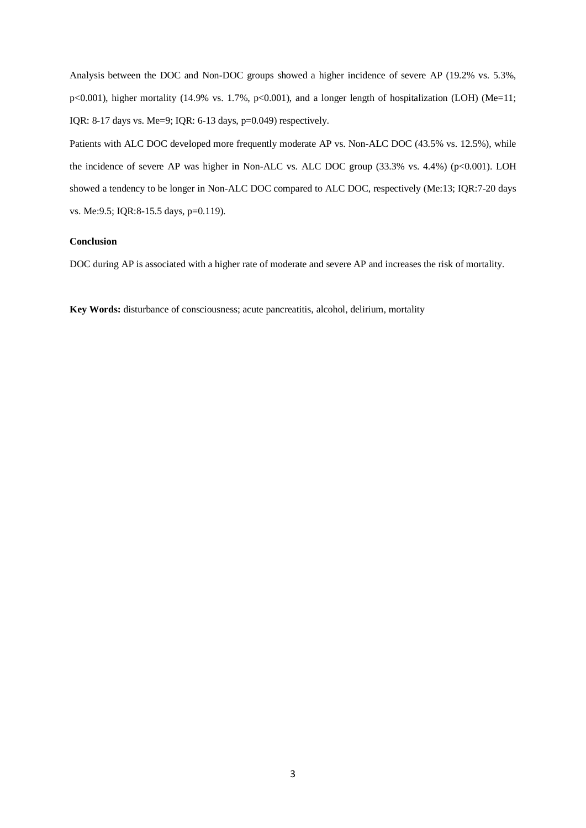Analysis between the DOC and Non-DOC groups showed a higher incidence of severe AP (19.2% vs. 5.3%, p<0.001), higher mortality (14.9% vs. 1.7%, p<0.001), and a longer length of hospitalization (LOH) (Me=11; IQR: 8-17 days vs. Me=9; IQR: 6-13 days, p=0.049) respectively.

Patients with ALC DOC developed more frequently moderate AP vs. Non-ALC DOC (43.5% vs. 12.5%), while the incidence of severe AP was higher in Non-ALC vs. ALC DOC group (33.3% vs. 4.4%) (p<0.001). LOH showed a tendency to be longer in Non-ALC DOC compared to ALC DOC, respectively (Me:13; IQR:7-20 days vs. Me:9.5; IQR:8-15.5 days, p=0.119).

# **Conclusion**

DOC during AP is associated with a higher rate of moderate and severe AP and increases the risk of mortality.

**Key Words:** disturbance of consciousness; acute pancreatitis, alcohol, delirium, mortality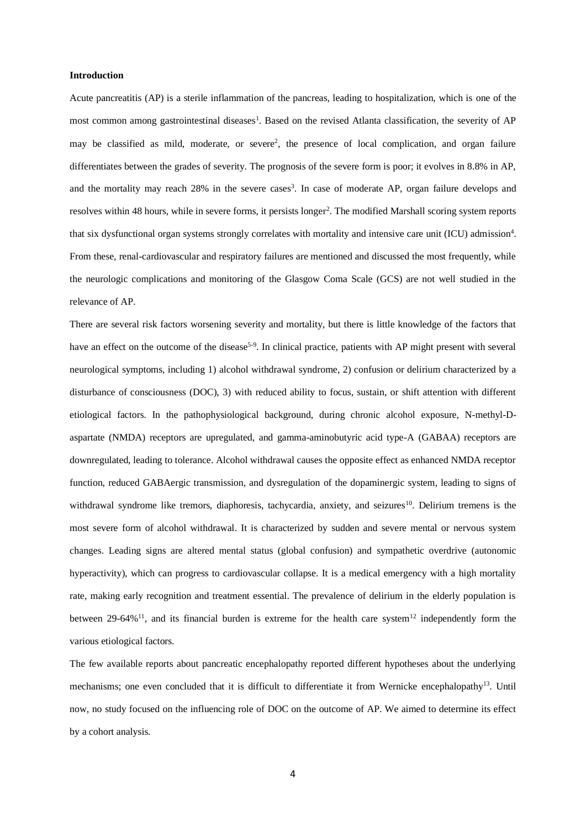#### **Introduction**

Acute pancreatitis (AP) is a sterile inflammation of the pancreas, leading to hospitalization, which is one of the most common among gastrointestinal diseases<sup>1</sup>. Based on the revised Atlanta classification, the severity of AP may be classified as mild, moderate, or severe<sup>2</sup>, the presence of local complication, and organ failure differentiates between the grades of severity. The prognosis of the severe form is poor; it evolves in 8.8% in AP, and the mortality may reach 28% in the severe cases<sup>3</sup>. In case of moderate AP, organ failure develops and resolves within 48 hours, while in severe forms, it persists longer<sup>2</sup>. The modified Marshall scoring system reports that six dysfunctional organ systems strongly correlates with mortality and intensive care unit (ICU) admission<sup>4</sup>. From these, renal-cardiovascular and respiratory failures are mentioned and discussed the most frequently, while the neurologic complications and monitoring of the Glasgow Coma Scale (GCS) are not well studied in the relevance of AP.

There are several risk factors worsening severity and mortality, but there is little knowledge of the factors that have an effect on the outcome of the disease<sup>5-9</sup>. In clinical practice, patients with AP might present with several neurological symptoms, including 1) alcohol withdrawal syndrome, 2) confusion or delirium characterized by a disturbance of consciousness (DOC), 3) with reduced ability to focus, sustain, or shift attention with different etiological factors. In the pathophysiological background, during chronic alcohol exposure, N-methyl-Daspartate (NMDA) receptors are upregulated, and gamma-aminobutyric acid type-A (GABAA) receptors are downregulated, leading to tolerance. Alcohol withdrawal causes the opposite effect as enhanced NMDA receptor function, reduced GABAergic transmission, and dysregulation of the dopaminergic system, leading to signs of withdrawal syndrome like tremors, diaphoresis, tachycardia, anxiety, and seizures<sup>10</sup>. Delirium tremens is the most severe form of [alcohol withdrawal.](https://medlineplus.gov/ency/article/000764.htm) It is characterized by sudden and severe mental or nervous system changes. Leading signs are altered mental status (global confusion) and sympathetic overdrive (autonomic hyperactivity), which can progress to cardiovascular collapse. It is a medical emergency with a high mortality rate, making early recognition and treatment essential. The prevalence of delirium in the elderly population is between 29-64%<sup>11</sup>, and its financial burden is extreme for the health care system<sup>12</sup> independently form the various etiological factors.

The few available reports about pancreatic encephalopathy reported different hypotheses about the underlying mechanisms; one even concluded that it is difficult to differentiate it from Wernicke encephalopathy<sup>13</sup>. Until now, no study focused on the influencing role of DOC on the outcome of AP. We aimed to determine its effect by a cohort analysis.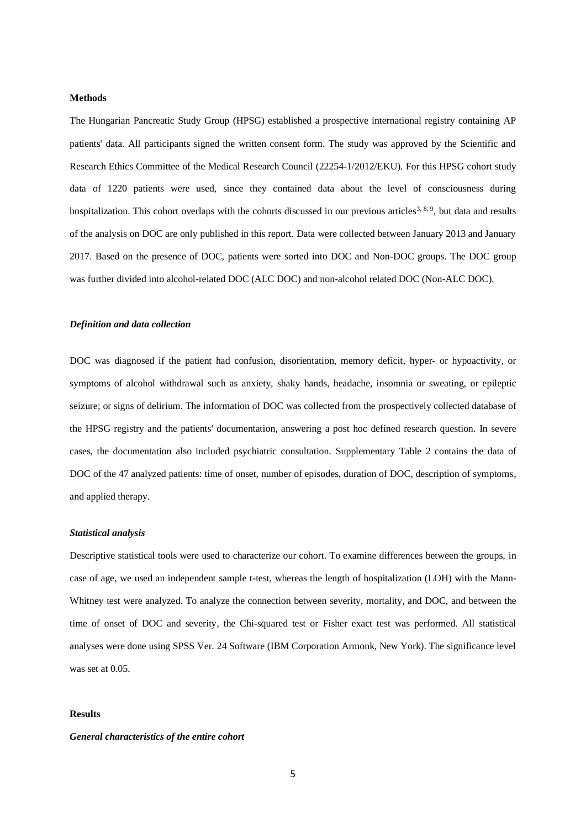#### **Methods**

The Hungarian Pancreatic Study Group (HPSG) established a prospective international registry containing AP patients' data. All participants signed the written consent form. The study was approved by the Scientific and Research Ethics Committee of the Medical Research Council (22254-1/2012/EKU). For this HPSG cohort study data of 1220 patients were used, since they contained data about the level of consciousness during hospitalization. This cohort overlaps with the cohorts discussed in our previous articles<sup>3, 8, 9</sup>, but data and results of the analysis on DOC are only published in this report. Data were collected between January 2013 and January 2017. Based on the presence of DOC, patients were sorted into DOC and Non-DOC groups. The DOC group was further divided into alcohol-related DOC (ALC DOC) and non-alcohol related DOC (Non-ALC DOC).

#### *Definition and data collection*

DOC was diagnosed if the patient had confusion, disorientation, memory deficit, hyper- or hypoactivity, or symptoms of alcohol withdrawal such as [anxiety,](https://www.webmd.com/anxiety-panic/default.htm) shaky hands, headache, [insomnia](https://www.webmd.com/sleep-disorders/guide/insomnia-symptoms-and-causes) or [sweating,](https://www.webmd.com/skin-problems-and-treatments/hyperhidrosis2) or epileptic seizure; or signs of delirium. The information of DOC was collected from the prospectively collected database of the HPSG registry and the patients' documentation, answering a post hoc defined research question. In severe cases, the documentation also included psychiatric consultation. Supplementary Table 2 contains the data of DOC of the 47 analyzed patients: time of onset, number of episodes, duration of DOC, description of symptoms, and applied therapy.

## *Statistical analysis*

Descriptive statistical tools were used to characterize our cohort. To examine differences between the groups, in case of age, we used an independent sample t-test, whereas the length of hospitalization (LOH) with the Mann-Whitney test were analyzed. To analyze the connection between severity, mortality, and DOC, and between the time of onset of DOC and severity, the Chi-squared test or Fisher exact test was performed. All statistical analyses were done using SPSS Ver. 24 Software (IBM Corporation Armonk, New York). The significance level was set at 0.05.

### **Results**

### *General characteristics of the entire cohort*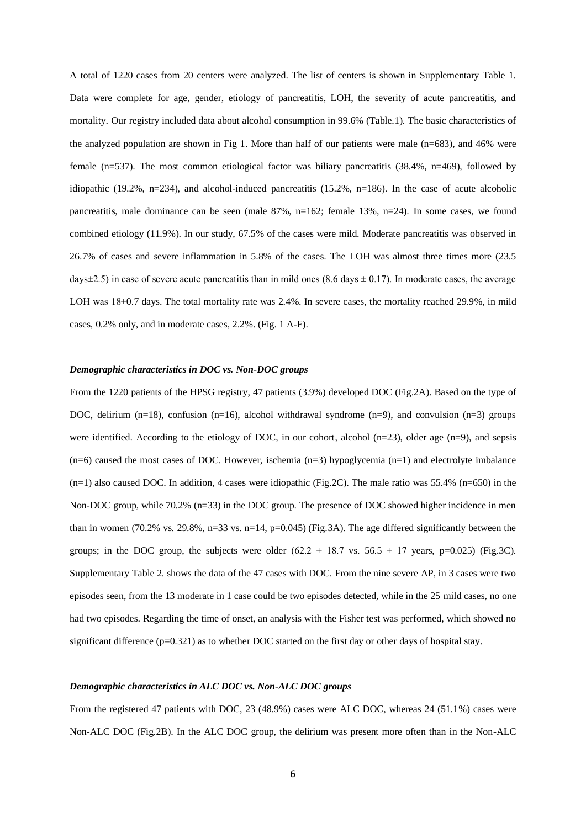A total of 1220 cases from 20 centers were analyzed. The list of centers is shown in Supplementary Table 1. Data were complete for age, gender, etiology of pancreatitis, LOH, the severity of acute pancreatitis, and mortality. Our registry included data about alcohol consumption in 99.6% (Table.1). The basic characteristics of the analyzed population are shown in Fig 1. More than half of our patients were male (n=683), and 46% were female (n=537). The most common etiological factor was biliary pancreatitis (38.4%, n=469), followed by idiopathic (19.2%, n=234), and alcohol-induced pancreatitis (15.2%, n=186). In the case of acute alcoholic pancreatitis, male dominance can be seen (male 87%, n=162; female 13%, n=24). In some cases, we found combined etiology (11.9%). In our study, 67.5% of the cases were mild. Moderate pancreatitis was observed in 26.7% of cases and severe inflammation in 5.8% of the cases. The LOH was almost three times more (23.5 days $\pm$ 2.5) in case of severe acute pancreatitis than in mild ones (8.6 days  $\pm$  0.17). In moderate cases, the average LOH was  $18\pm0.7$  days. The total mortality rate was 2.4%. In severe cases, the mortality reached 29.9%, in mild cases, 0.2% only, and in moderate cases, 2.2%. (Fig. 1 A-F).

## *Demographic characteristics in DOC vs. Non-DOC groups*

From the 1220 patients of the HPSG registry, 47 patients (3.9%) developed DOC (Fig.2A). Based on the type of DOC, delirium (n=18), confusion (n=16), alcohol withdrawal syndrome (n=9), and convulsion (n=3) groups were identified. According to the etiology of DOC, in our cohort, alcohol  $(n=23)$ , older age  $(n=9)$ , and sepsis  $(n=6)$  caused the most cases of DOC. However, ischemia  $(n=3)$  hypoglycemia  $(n=1)$  and electrolyte imbalance  $(n=1)$  also caused DOC. In addition, 4 cases were idiopathic (Fig.2C). The male ratio was 55.4% (n=650) in the Non-DOC group, while 70.2% (n=33) in the DOC group. The presence of DOC showed higher incidence in men than in women (70.2% vs. 29.8%, n=33 vs. n=14, p=0.045) (Fig.3A). The age differed significantly between the groups; in the DOC group, the subjects were older  $(62.2 \pm 18.7 \text{ vs. } 56.5 \pm 17 \text{ years}, \text{ p=0.025})$  (Fig.3C). Supplementary Table 2. shows the data of the 47 cases with DOC. From the nine severe AP, in 3 cases were two episodes seen, from the 13 moderate in 1 case could be two episodes detected, while in the 25 mild cases, no one had two episodes. Regarding the time of onset, an analysis with the Fisher test was performed, which showed no significant difference  $(p=0.321)$  as to whether DOC started on the first day or other days of hospital stay.

#### *Demographic characteristics in ALC DOC vs. Non-ALC DOC groups*

From the registered 47 patients with DOC, 23 (48.9%) cases were ALC DOC, whereas 24 (51.1%) cases were Non-ALC DOC (Fig.2B). In the ALC DOC group, the delirium was present more often than in the Non-ALC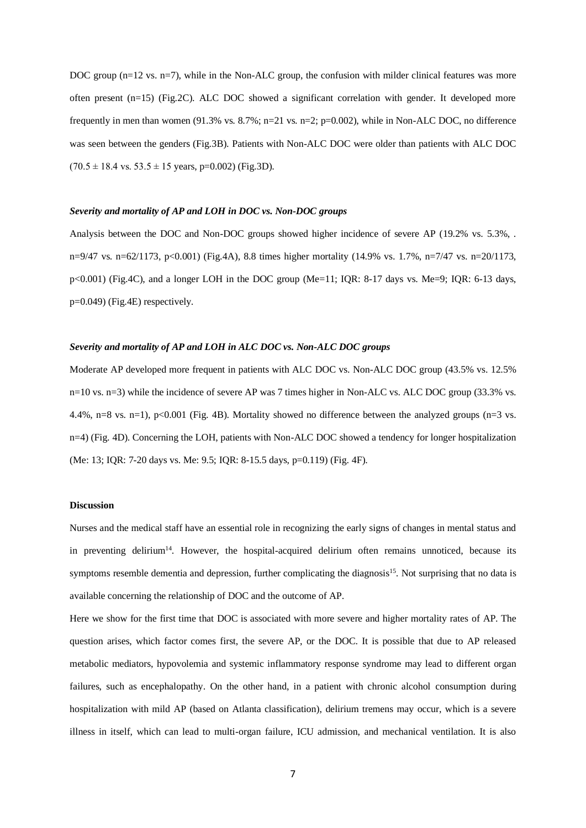DOC group (n=12 vs. n=7), while in the Non-ALC group, the confusion with milder clinical features was more often present (n=15) (Fig.2C). ALC DOC showed a significant correlation with gender. It developed more frequently in men than women (91.3% vs. 8.7%; n=21 vs. n=2; p=0.002), while in Non-ALC DOC, no difference was seen between the genders (Fig.3B). Patients with Non-ALC DOC were older than patients with ALC DOC  $(70.5 \pm 18.4 \text{ vs. } 53.5 \pm 15 \text{ years}, \text{p=0.002})$  (Fig.3D).

#### *Severity and mortality of AP and LOH in DOC vs. Non-DOC groups*

Analysis between the DOC and Non-DOC groups showed higher incidence of severe AP (19.2% vs. 5.3%, . n=9/47 vs. n=62/1173, p<0.001) (Fig.4A), 8.8 times higher mortality (14.9% vs. 1.7%, n=7/47 vs. n=20/1173,  $p<0.001$ ) (Fig.4C), and a longer LOH in the DOC group (Me=11; IQR: 8-17 days vs. Me=9; IQR: 6-13 days, p=0.049) (Fig.4E) respectively.

#### *Severity and mortality of AP and LOH in ALC DOC vs. Non-ALC DOC groups*

Moderate AP developed more frequent in patients with ALC DOC vs. Non-ALC DOC group (43.5% vs. 12.5% n=10 vs. n=3) while the incidence of severe AP was 7 times higher in Non-ALC vs. ALC DOC group (33.3% vs. 4.4%, n=8 vs. n=1), p<0.001 (Fig. 4B). Mortality showed no difference between the analyzed groups (n=3 vs. n=4) (Fig. 4D). Concerning the LOH, patients with Non-ALC DOC showed a tendency for longer hospitalization (Me: 13; IQR: 7-20 days vs. Me: 9.5; IQR: 8-15.5 days, p=0.119) (Fig. 4F).

### **Discussion**

Nurses and the medical staff have an essential role in recognizing the early signs of changes in mental status and in preventing delirium<sup>14</sup>. However, the hospital-acquired delirium often remains unnoticed, because its symptoms resemble dementia and depression, further complicating the diagnosis<sup>15</sup>. Not surprising that no data is available concerning the relationship of DOC and the outcome of AP.

Here we show for the first time that DOC is associated with more severe and higher mortality rates of AP. The question arises, which factor comes first, the severe AP, or the DOC. It is possible that due to AP released metabolic mediators, hypovolemia and systemic inflammatory response syndrome may lead to different organ failures, such as encephalopathy. On the other hand, in a patient with chronic alcohol consumption during hospitalization with mild AP (based on Atlanta classification), delirium tremens may occur, which is a severe illness in itself, which can lead to multi-organ failure, ICU admission, and mechanical ventilation. It is also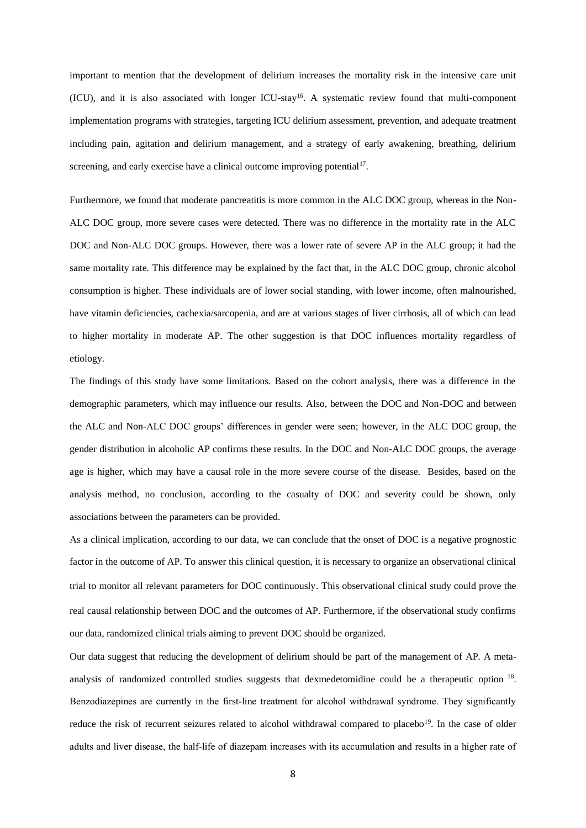important to mention that the development of delirium increases the mortality risk in the intensive care unit (ICU), and it is also associated with longer ICU-stay<sup>16</sup>. A systematic review found that multi-component implementation programs with strategies, targeting ICU delirium assessment, prevention, and adequate treatment including pain, agitation and delirium management, and a strategy of early awakening, breathing, delirium screening, and early exercise have a clinical outcome improving potential<sup>17</sup>.

Furthermore, we found that moderate pancreatitis is more common in the ALC DOC group, whereas in the Non-ALC DOC group, more severe cases were detected. There was no difference in the mortality rate in the ALC DOC and Non-ALC DOC groups. However, there was a lower rate of severe AP in the ALC group; it had the same mortality rate. This difference may be explained by the fact that, in the ALC DOC group, chronic alcohol consumption is higher. These individuals are of lower social standing, with lower income, often malnourished, have vitamin deficiencies, cachexia/sarcopenia, and are at various stages of liver cirrhosis, all of which can lead to higher mortality in moderate AP. The other suggestion is that DOC influences mortality regardless of etiology.

The findings of this study have some limitations. Based on the cohort analysis, there was a difference in the demographic parameters, which may influence our results. Also, between the DOC and Non-DOC and between the ALC and Non-ALC DOC groups' differences in gender were seen; however, in the ALC DOC group, the gender distribution in alcoholic AP confirms these results. In the DOC and Non-ALC DOC groups, the average age is higher, which may have a causal role in the more severe course of the disease. Besides, based on the analysis method, no conclusion, according to the casualty of DOC and severity could be shown, only associations between the parameters can be provided.

As a clinical implication, according to our data, we can conclude that the onset of DOC is a negative prognostic factor in the outcome of AP. To answer this clinical question, it is necessary to organize an observational clinical trial to monitor all relevant parameters for DOC continuously. This observational clinical study could prove the real causal relationship between DOC and the outcomes of AP. Furthermore, if the observational study confirms our data, randomized clinical trials aiming to prevent DOC should be organized.

Our data suggest that reducing the development of delirium should be part of the management of AP. A metaanalysis of randomized controlled studies suggests that dexmedetomidine could be a therapeutic option <sup>18</sup>. Benzodiazepines are currently in the first-line treatment for alcohol withdrawal syndrome. They significantly reduce the risk of recurrent seizures related to alcohol withdrawal compared to placebo<sup>19</sup>. In the case of older adults and liver disease, the half‐life of diazepam increases with its accumulation and results in a higher rate of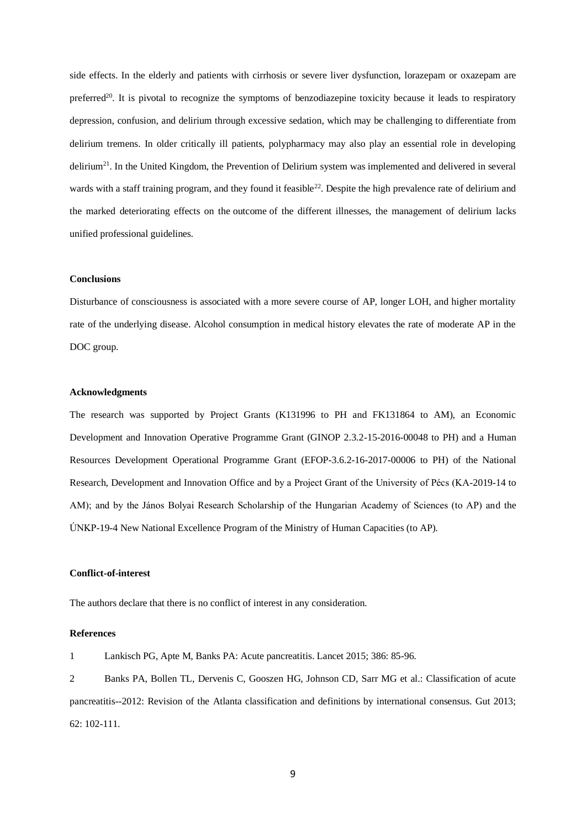side effects. In the elderly and patients with cirrhosis or severe liver dysfunction, lorazepam or oxazepam are preferred<sup>20</sup>. It is pivotal to recognize the symptoms of benzodiazepine toxicity because it leads to respiratory depression, confusion, and delirium through excessive sedation, which may be challenging to differentiate from delirium tremens. In older critically ill patients, polypharmacy may also play an essential role in developing delirium<sup>21</sup>. In the United Kingdom, the Prevention of Delirium system was implemented and delivered in several wards with a staff training program, and they found it feasible<sup>22</sup>. Despite the high prevalence rate of delirium and the marked deteriorating effects on the outcome of the different illnesses, the management of delirium lacks unified professional guidelines.

#### **Conclusions**

Disturbance of consciousness is associated with a more severe course of AP, longer LOH, and higher mortality rate of the underlying disease. Alcohol consumption in medical history elevates the rate of moderate AP in the DOC group.

## **Acknowledgments**

The research was supported by Project Grants (K131996 to PH and FK131864 to AM), an Economic Development and Innovation Operative Programme Grant (GINOP 2.3.2-15-2016-00048 to PH) and a Human Resources Development Operational Programme Grant (EFOP-3.6.2-16-2017-00006 to PH) of the National Research, Development and Innovation Office and by a Project Grant of the University of Pécs (KA-2019-14 to AM); and by the János Bolyai Research Scholarship of the Hungarian Academy of Sciences (to AP) and the ÚNKP-19-4 New National Excellence Program of the Ministry of Human Capacities (to AP).

#### **Conflict-of-interest**

The authors declare that there is no conflict of interest in any consideration.

#### **References**

1 Lankisch PG, Apte M, Banks PA: Acute pancreatitis. Lancet 2015; 386: 85-96.

2 Banks PA, Bollen TL, Dervenis C, Gooszen HG, Johnson CD, Sarr MG et al.: Classification of acute pancreatitis--2012: Revision of the Atlanta classification and definitions by international consensus. Gut 2013; 62: 102-111.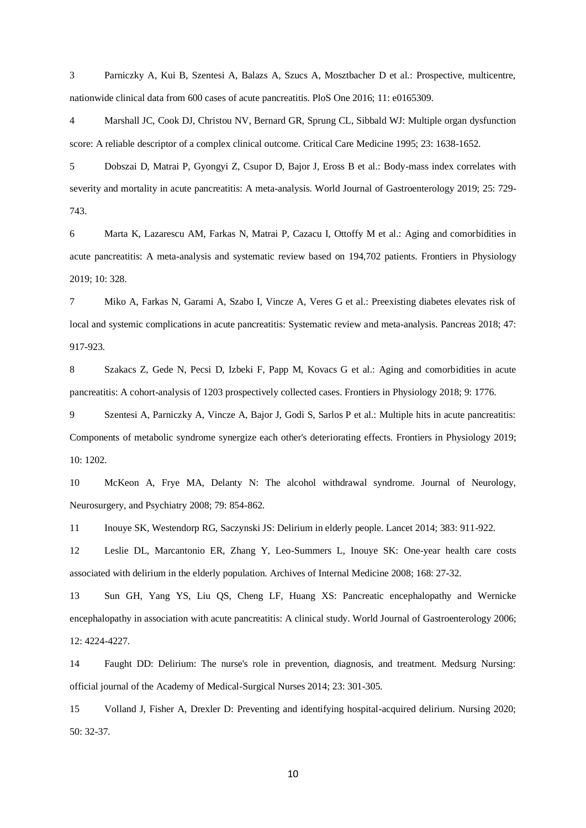3 Parniczky A, Kui B, Szentesi A, Balazs A, Szucs A, Mosztbacher D et al.: Prospective, multicentre, nationwide clinical data from 600 cases of acute pancreatitis. PloS One 2016; 11: e0165309.

4 Marshall JC, Cook DJ, Christou NV, Bernard GR, Sprung CL, Sibbald WJ: Multiple organ dysfunction score: A reliable descriptor of a complex clinical outcome. Critical Care Medicine 1995; 23: 1638-1652.

5 Dobszai D, Matrai P, Gyongyi Z, Csupor D, Bajor J, Eross B et al.: Body-mass index correlates with severity and mortality in acute pancreatitis: A meta-analysis. World Journal of Gastroenterology 2019; 25: 729-743.

6 Marta K, Lazarescu AM, Farkas N, Matrai P, Cazacu I, Ottoffy M et al.: Aging and comorbidities in acute pancreatitis: A meta-analysis and systematic review based on 194,702 patients. Frontiers in Physiology 2019; 10: 328.

7 Miko A, Farkas N, Garami A, Szabo I, Vincze A, Veres G et al.: Preexisting diabetes elevates risk of local and systemic complications in acute pancreatitis: Systematic review and meta-analysis. Pancreas 2018; 47: 917-923.

8 Szakacs Z, Gede N, Pecsi D, Izbeki F, Papp M, Kovacs G et al.: Aging and comorbidities in acute pancreatitis: A cohort-analysis of 1203 prospectively collected cases. Frontiers in Physiology 2018; 9: 1776.

9 Szentesi A, Parniczky A, Vincze A, Bajor J, Godi S, Sarlos P et al.: Multiple hits in acute pancreatitis: Components of metabolic syndrome synergize each other's deteriorating effects. Frontiers in Physiology 2019; 10: 1202.

10 McKeon A, Frye MA, Delanty N: The alcohol withdrawal syndrome. Journal of Neurology, Neurosurgery, and Psychiatry 2008; 79: 854-862.

11 Inouye SK, Westendorp RG, Saczynski JS: Delirium in elderly people. Lancet 2014; 383: 911-922.

12 Leslie DL, Marcantonio ER, Zhang Y, Leo-Summers L, Inouye SK: One-year health care costs associated with delirium in the elderly population. Archives of Internal Medicine 2008; 168: 27-32.

13 Sun GH, Yang YS, Liu QS, Cheng LF, Huang XS: Pancreatic encephalopathy and Wernicke encephalopathy in association with acute pancreatitis: A clinical study. World Journal of Gastroenterology 2006; 12: 4224-4227.

14 Faught DD: Delirium: The nurse's role in prevention, diagnosis, and treatment. Medsurg Nursing: official journal of the Academy of Medical-Surgical Nurses 2014; 23: 301-305.

15 Volland J, Fisher A, Drexler D: Preventing and identifying hospital-acquired delirium. Nursing 2020; 50: 32-37.

10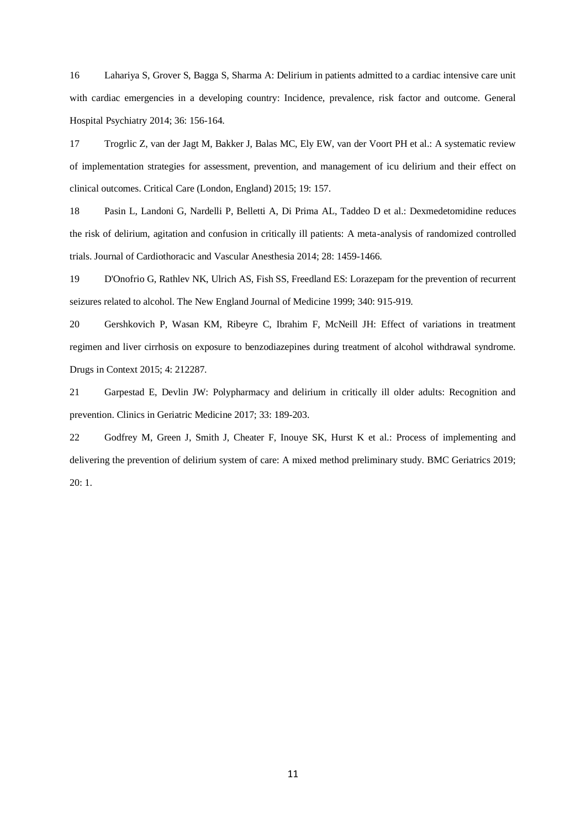16 Lahariya S, Grover S, Bagga S, Sharma A: Delirium in patients admitted to a cardiac intensive care unit with cardiac emergencies in a developing country: Incidence, prevalence, risk factor and outcome. General Hospital Psychiatry 2014; 36: 156-164.

17 Trogrlic Z, van der Jagt M, Bakker J, Balas MC, Ely EW, van der Voort PH et al.: A systematic review of implementation strategies for assessment, prevention, and management of icu delirium and their effect on clinical outcomes. Critical Care (London, England) 2015; 19: 157.

18 Pasin L, Landoni G, Nardelli P, Belletti A, Di Prima AL, Taddeo D et al.: Dexmedetomidine reduces the risk of delirium, agitation and confusion in critically ill patients: A meta-analysis of randomized controlled trials. Journal of Cardiothoracic and Vascular Anesthesia 2014; 28: 1459-1466.

19 D'Onofrio G, Rathlev NK, Ulrich AS, Fish SS, Freedland ES: Lorazepam for the prevention of recurrent seizures related to alcohol. The New England Journal of Medicine 1999; 340: 915-919.

20 Gershkovich P, Wasan KM, Ribeyre C, Ibrahim F, McNeill JH: Effect of variations in treatment regimen and liver cirrhosis on exposure to benzodiazepines during treatment of alcohol withdrawal syndrome. Drugs in Context 2015; 4: 212287.

21 Garpestad E, Devlin JW: Polypharmacy and delirium in critically ill older adults: Recognition and prevention. Clinics in Geriatric Medicine 2017; 33: 189-203.

22 Godfrey M, Green J, Smith J, Cheater F, Inouye SK, Hurst K et al.: Process of implementing and delivering the prevention of delirium system of care: A mixed method preliminary study. BMC Geriatrics 2019; 20: 1.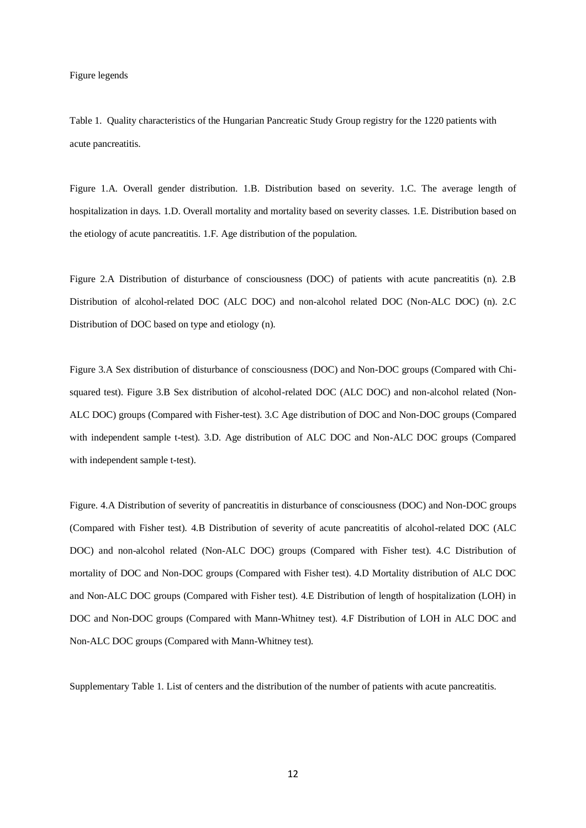Figure legends

Table 1. Quality characteristics of the Hungarian Pancreatic Study Group registry for the 1220 patients with acute pancreatitis.

Figure 1.A. Overall gender distribution. 1.B. Distribution based on severity. 1.C. The average length of hospitalization in days. 1.D. Overall mortality and mortality based on severity classes. 1.E. Distribution based on the etiology of acute pancreatitis. 1.F. Age distribution of the population.

Figure 2.A Distribution of disturbance of consciousness (DOC) of patients with acute pancreatitis (n). 2.B Distribution of alcohol-related DOC (ALC DOC) and non-alcohol related DOC (Non-ALC DOC) (n). 2.C Distribution of DOC based on type and etiology (n).

Figure 3.A Sex distribution of disturbance of consciousness (DOC) and Non-DOC groups (Compared with Chisquared test). Figure 3.B Sex distribution of alcohol-related DOC (ALC DOC) and non-alcohol related (Non-ALC DOC) groups (Compared with Fisher-test). 3.C Age distribution of DOC and Non-DOC groups (Compared with independent sample t-test). 3.D. Age distribution of ALC DOC and Non-ALC DOC groups (Compared with independent sample t-test).

Figure. 4.A Distribution of severity of pancreatitis in disturbance of consciousness (DOC) and Non-DOC groups (Compared with Fisher test). 4.B Distribution of severity of acute pancreatitis of alcohol-related DOC (ALC DOC) and non-alcohol related (Non-ALC DOC) groups (Compared with Fisher test). 4.C Distribution of mortality of DOC and Non-DOC groups (Compared with Fisher test). 4.D Mortality distribution of ALC DOC and Non-ALC DOC groups (Compared with Fisher test). 4.E Distribution of length of hospitalization (LOH) in DOC and Non-DOC groups (Compared with Mann-Whitney test). 4.F Distribution of LOH in ALC DOC and Non-ALC DOC groups (Compared with Mann-Whitney test).

Supplementary Table 1. List of centers and the distribution of the number of patients with acute pancreatitis.